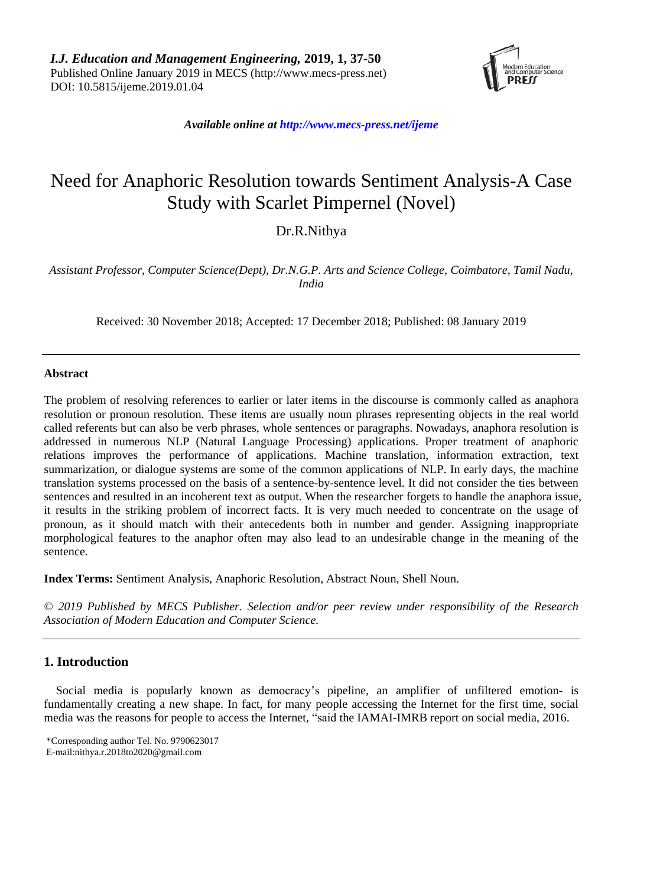

*Available online a[t http://www.mecs-press.net/ijeme](http://www.mecs-press.net/ijeme)*

# Need for Anaphoric Resolution towards Sentiment Analysis-A Case Study with Scarlet Pimpernel (Novel)

# Dr.R.Nithya

*Assistant Professor, Computer Science(Dept), Dr.N.G.P. Arts and Science College, Coimbatore, Tamil Nadu, India*

Received: 30 November 2018; Accepted: 17 December 2018; Published: 08 January 2019

# **Abstract**

The problem of resolving references to earlier or later items in the discourse is commonly called as anaphora resolution or pronoun resolution. These items are usually noun phrases representing objects in the real world called referents but can also be verb phrases, whole sentences or paragraphs. Nowadays, anaphora resolution is addressed in numerous NLP (Natural Language Processing) applications. Proper treatment of anaphoric relations improves the performance of applications. Machine translation, information extraction, text summarization, or dialogue systems are some of the common applications of NLP. In early days, the machine translation systems processed on the basis of a sentence-by-sentence level. It did not consider the ties between sentences and resulted in an incoherent text as output. When the researcher forgets to handle the anaphora issue, it results in the striking problem of incorrect facts. It is very much needed to concentrate on the usage of pronoun, as it should match with their antecedents both in number and gender. Assigning inappropriate morphological features to the anaphor often may also lead to an undesirable change in the meaning of the sentence.

**Index Terms:** Sentiment Analysis, Anaphoric Resolution, Abstract Noun, Shell Noun.

*© 2019 Published by MECS Publisher. Selection and/or peer review under responsibility of the Research Association of Modern Education and Computer Science.*

# **1. Introduction**

Social media is popularly known as democracy's pipeline, an amplifier of unfiltered emotion- is fundamentally creating a new shape. In fact, for many people accessing the Internet for the first time, social media was the reasons for people to access the Internet, "said the IAMAI-IMRB report on social media, 2016.

<sup>\*</sup>Corresponding author Tel. No. 9790623017 E-mail:nithya.r.2018to2020@gmail.com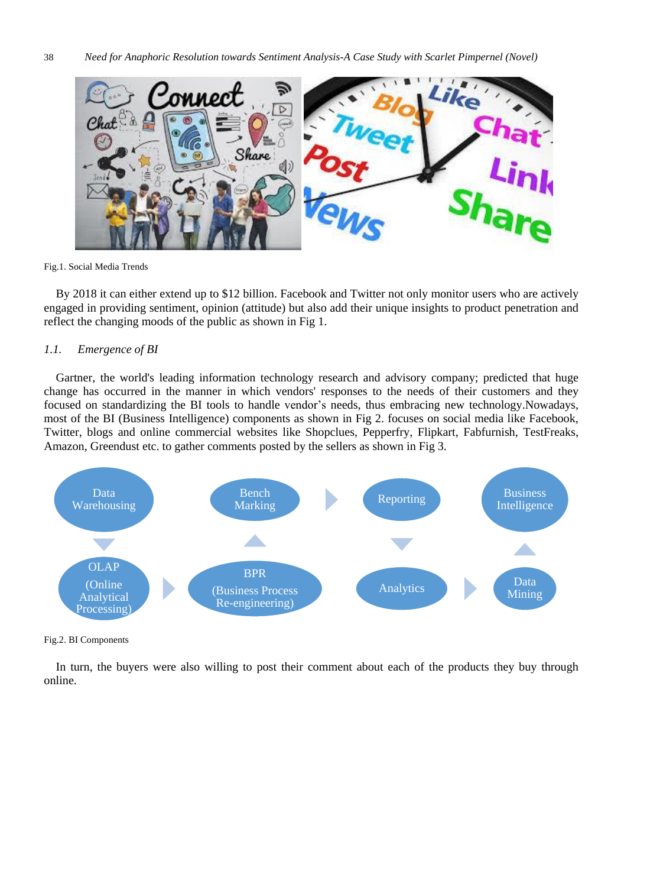

Fig.1. Social Media Trends

By 2018 it can either extend up to \$12 billion. Facebook and Twitter not only monitor users who are actively engaged in providing sentiment, opinion (attitude) but also add their unique insights to product penetration and reflect the changing moods of the public as shown in Fig 1.

# *1.1. Emergence of BI*

Gartner, the world's leading information technology research and advisory company; predicted that huge change has occurred in the manner in which vendors' responses to the needs of their customers and they focused on standardizing the BI tools to handle vendor's needs, thus embracing new technology.Nowadays, most of the BI (Business Intelligence) components as shown in Fig 2. focuses on social media like Facebook, Twitter, blogs and online commercial websites like Shopclues, Pepperfry, Flipkart, Fabfurnish, TestFreaks, Amazon, Greendust etc. to gather comments posted by the sellers as shown in Fig 3.



Fig.2. BI Components

In turn, the buyers were also willing to post their comment about each of the products they buy through online.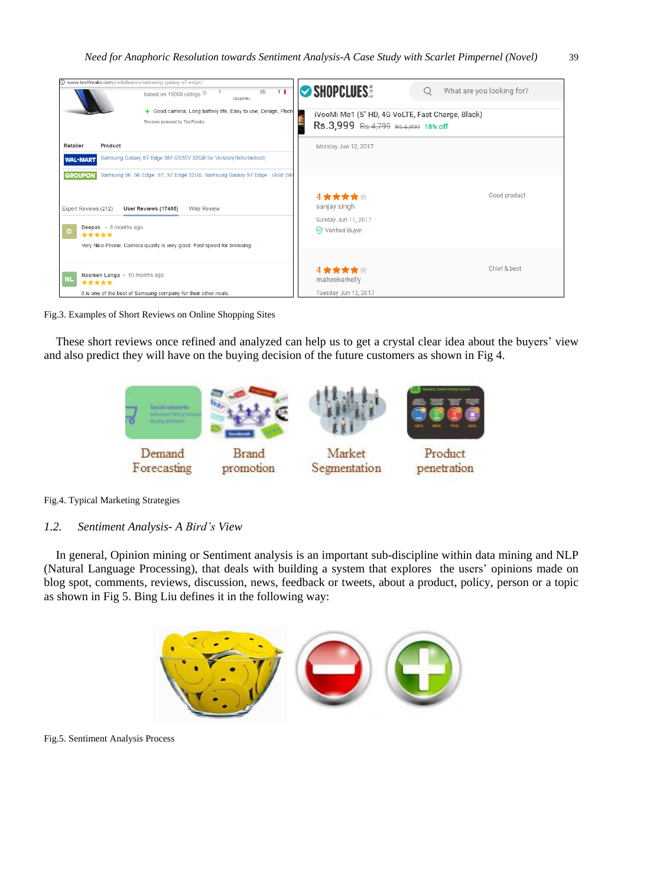

Fig.3. Examples of Short Reviews on Online Shopping Sites

These short reviews once refined and analyzed can help us to get a crystal clear idea about the buyers' view and also predict they will have on the buying decision of the future customers as shown in Fig 4.





*1.2. Sentiment Analysis- A Bird's View*

In general, Opinion mining or Sentiment analysis is an important sub-discipline within data mining and NLP (Natural Language Processing), that deals with building a system that explores the users' opinions made on blog spot, comments, reviews, discussion, news, feedback or tweets, about a product, policy, person or a topic as shown in Fig 5. Bing Liu defines it in the following way:



Fig.5. Sentiment Analysis Process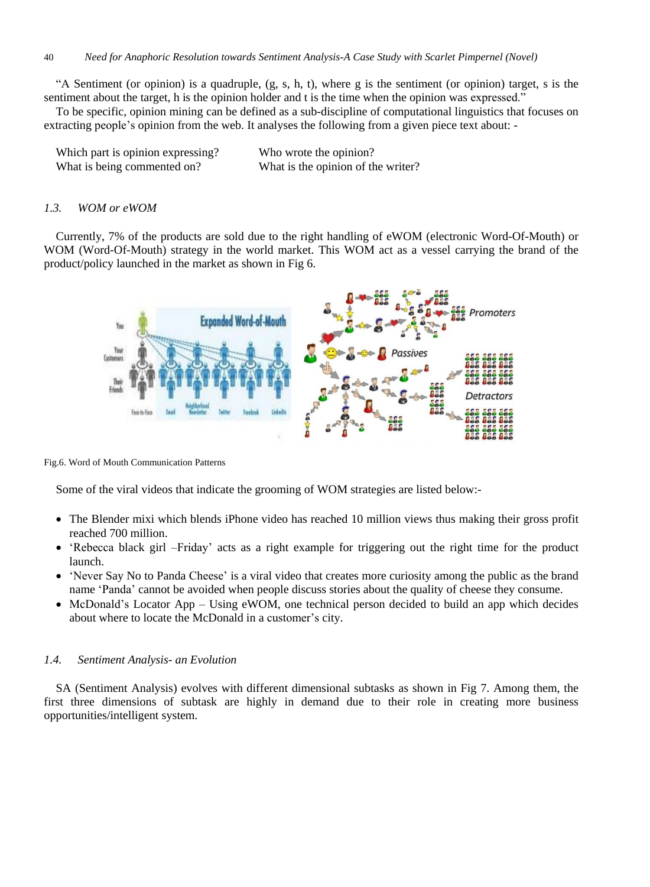"A Sentiment (or opinion) is a quadruple,  $(g, s, h, t)$ , where g is the sentiment (or opinion) target, s is the sentiment about the target, h is the opinion holder and t is the time when the opinion was expressed."

To be specific, opinion mining can be defined as a sub-discipline of computational linguistics that focuses on extracting people's opinion from the web. It analyses the following from a given piece text about: -

| Which part is opinion expressing? | Who wrote the opinion?             |
|-----------------------------------|------------------------------------|
| What is being commented on?       | What is the opinion of the writer? |

#### *1.3. WOM or eWOM*

Currently, 7% of the products are sold due to the right handling of eWOM (electronic Word-Of-Mouth) or WOM (Word-Of-Mouth) strategy in the world market. This WOM act as a vessel carrying the brand of the product/policy launched in the market as shown in Fig 6.



Fig.6. Word of Mouth Communication Patterns

Some of the viral videos that indicate the grooming of WOM strategies are listed below:-

- The Blender mixi which blends iPhone video has reached 10 million views thus making their gross profit reached 700 million.
- 'Rebecca black girl –Friday' acts as a right example for triggering out the right time for the product launch.
- 'Never Say No to Panda Cheese' is a viral video that creates more curiosity among the public as the brand name 'Panda' cannot be avoided when people discuss stories about the quality of cheese they consume.
- McDonald's Locator App Using eWOM, one technical person decided to build an app which decides about where to locate the McDonald in a customer's city.

#### *1.4. Sentiment Analysis- an Evolution*

SA (Sentiment Analysis) evolves with different dimensional subtasks as shown in Fig 7. Among them, the first three dimensions of subtask are highly in demand due to their role in creating more business opportunities/intelligent system.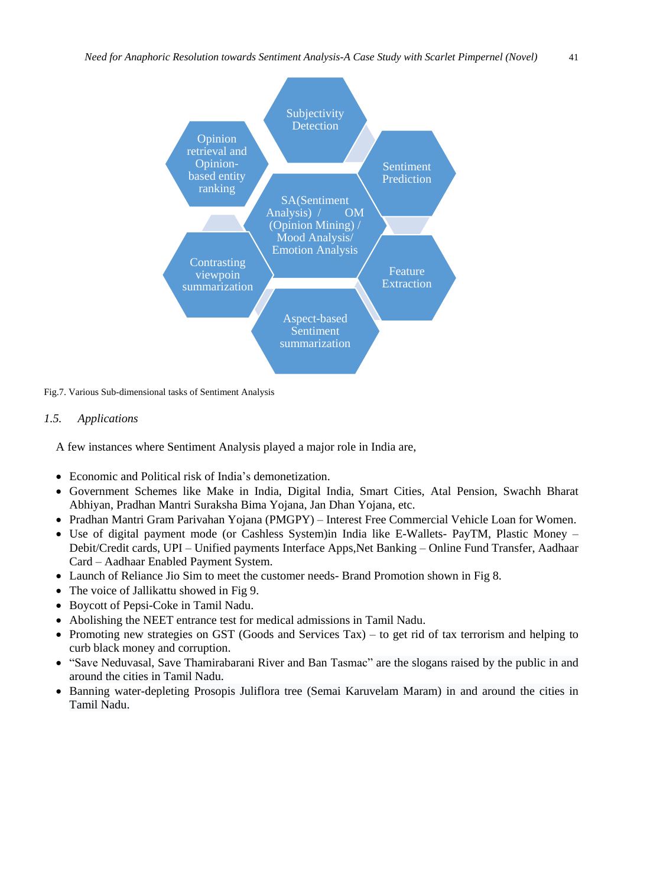

Fig.7. Various Sub-dimensional tasks of Sentiment Analysis

# *1.5. Applications*

A few instances where Sentiment Analysis played a major role in India are,

- Economic and Political risk of India's demonetization.
- Government Schemes like Make in India, Digital India, Smart Cities, Atal Pension, Swachh Bharat Abhiyan, Pradhan Mantri Suraksha Bima Yojana, Jan Dhan Yojana, etc.
- Pradhan Mantri Gram Parivahan Yojana (PMGPY) Interest Free [Commercial](https://www.sarkariyojna.co.in/pradhan-mantri-gram-parivahan-yojana-pmgpy/) Vehicle Loan for Women.
- Use of digital payment mode (or Cashless System)in India like E-Wallets- PayTM, Plastic Money Debit/Credit cards, UPI – Unified payments Interface Apps,Net Banking – Online Fund Transfer, Aadhaar Card – Aadhaar Enabled Payment System.
- Launch of Reliance Jio Sim to meet the customer needs- Brand Promotion shown in Fig 8.
- The voice of Jallikattu showed in Fig 9.
- Boycott of Pepsi-Coke in Tamil Nadu.
- Abolishing the NEET entrance test for medical admissions in Tamil Nadu.
- Promoting new strategies on GST (Goods and Services Tax) to get rid of tax terrorism and helping to curb black money and corruption.
- "Save Neduvasal, Save Thamirabarani River and Ban Tasmac" are the slogans raised by the public in and around the cities in Tamil Nadu.
- Banning water-depleting Prosopis Juliflora tree (Semai Karuvelam Maram) in and around the cities in Tamil Nadu.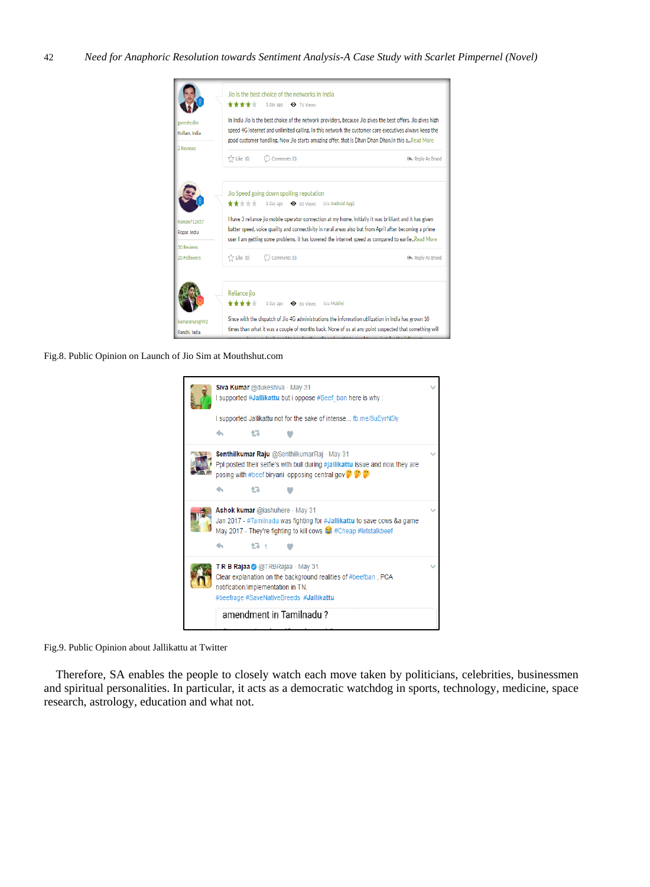

Fig.8. Public Opinion on Launch of Jio Sim at Mouthshut.com



Fig.9. Public Opinion about Jallikattu at Twitter

Therefore, SA enables the people to closely watch each move taken by politicians, celebrities, businessmen and spiritual personalities. In particular, it acts as a democratic watchdog in sports, technology, medicine, space research, astrology, education and what not.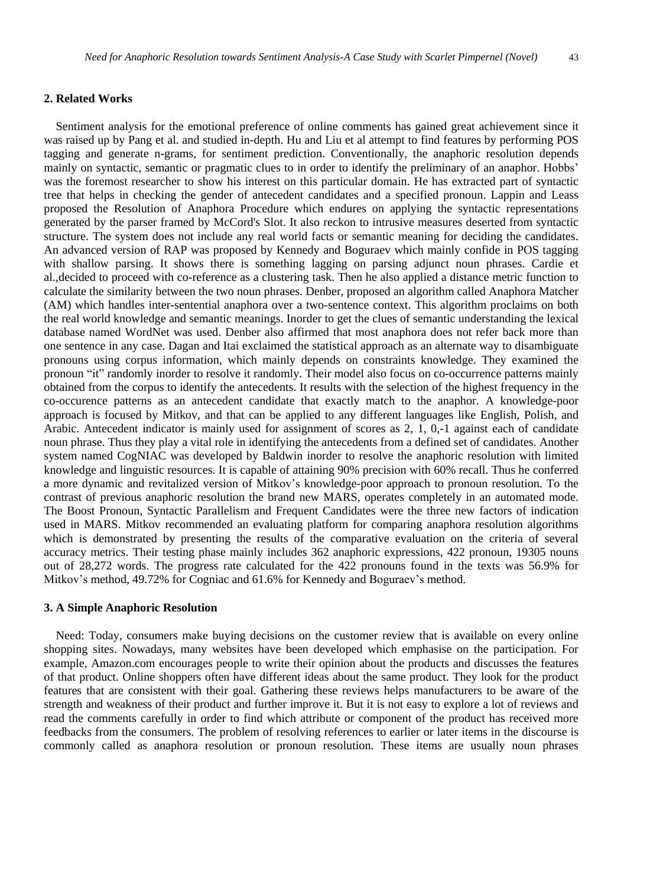#### **2. Related Works**

Sentiment analysis for the emotional preference of online comments has gained great achievement since it was raised up by Pang et al. and studied in-depth. Hu and Liu et al attempt to find features by performing POS tagging and generate n-grams, for sentiment prediction. Conventionally, the anaphoric resolution depends mainly on syntactic, semantic or pragmatic clues to in order to identify the preliminary of an anaphor. Hobbs' was the foremost researcher to show his interest on this particular domain. He has extracted part of syntactic tree that helps in checking the gender of antecedent candidates and a specified pronoun. Lappin and Leass proposed the Resolution of Anaphora Procedure which endures on applying the syntactic representations generated by the parser framed by McCord's Slot. It also reckon to intrusive measures deserted from syntactic structure. The system does not include any real world facts or semantic meaning for deciding the candidates. An advanced version of RAP was proposed by Kennedy and Boguraev which mainly confide in POS tagging with shallow parsing. It shows there is something lagging on parsing adjunct noun phrases. Cardie et al.,decided to proceed with co-reference as a clustering task. Then he also applied a distance metric function to calculate the similarity between the two noun phrases. Denber, proposed an algorithm called Anaphora Matcher (AM) which handles inter-sentential anaphora over a two-sentence context. This algorithm proclaims on both the real world knowledge and semantic meanings. Inorder to get the clues of semantic understanding the lexical database named WordNet was used. Denber also affirmed that most anaphora does not refer back more than one sentence in any case. Dagan and Itai exclaimed the statistical approach as an alternate way to disambiguate pronouns using corpus information, which mainly depends on constraints knowledge. They examined the pronoun "it" randomly inorder to resolve it randomly. Their model also focus on co-occurrence patterns mainly obtained from the corpus to identify the antecedents. It results with the selection of the highest frequency in the co-occurence patterns as an antecedent candidate that exactly match to the anaphor. A knowledge-poor approach is focused by Mitkov, and that can be applied to any different languages like English, Polish, and Arabic. Antecedent indicator is mainly used for assignment of scores as 2, 1, 0,-1 against each of candidate noun phrase. Thus they play a vital role in identifying the antecedents from a defined set of candidates. Another system named CogNIAC was developed by Baldwin inorder to resolve the anaphoric resolution with limited knowledge and linguistic resources. It is capable of attaining 90% precision with 60% recall. Thus he conferred a more dynamic and revitalized version of Mitkov's knowledge-poor approach to pronoun resolution. To the contrast of previous anaphoric resolution the brand new MARS, operates completely in an automated mode. The Boost Pronoun, Syntactic Parallelism and Frequent Candidates were the three new factors of indication used in MARS. Mitkov recommended an evaluating platform for comparing anaphora resolution algorithms which is demonstrated by presenting the results of the comparative evaluation on the criteria of several accuracy metrics. Their testing phase mainly includes 362 anaphoric expressions, 422 pronoun, 19305 nouns out of 28,272 words. The progress rate calculated for the 422 pronouns found in the texts was 56.9% for Mitkov's method, 49.72% for Cogniac and 61.6% for Kennedy and Boguraev's method.

#### **3. A Simple Anaphoric Resolution**

Need: Today, consumers make buying decisions on the customer review that is available on every online shopping sites. Nowadays, many websites have been developed which emphasise on the participation. For example, Amazon.com encourages people to write their opinion about the products and discusses the features of that product. Online shoppers often have different ideas about the same product. They look for the product features that are consistent with their goal. Gathering these reviews helps manufacturers to be aware of the strength and weakness of their product and further improve it. But it is not easy to explore a lot of reviews and read the comments carefully in order to find which attribute or component of the product has received more feedbacks from the consumers. The problem of resolving references to earlier or later items in the discourse is commonly called as anaphora resolution or pronoun resolution. These items are usually noun phrases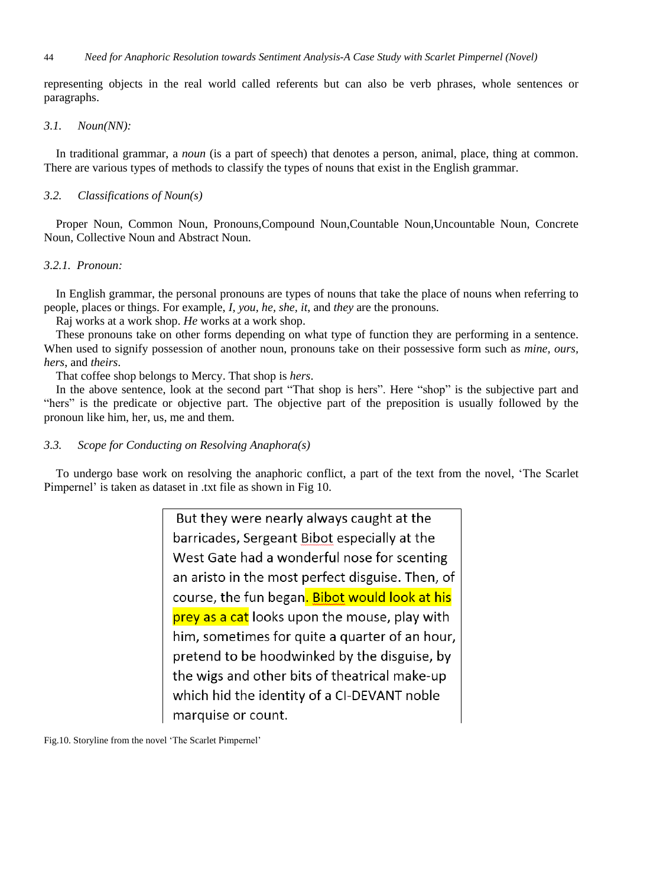representing objects in the real world called referents but can also be verb phrases, whole sentences or paragraphs.

#### *3.1. Noun(NN):*

In traditional grammar, a *noun* (is a part of speech) that denotes a person, animal, place, thing at common. There are various types of methods to classify the types of nouns that exist in the English grammar.

#### *3.2. Classifications of Noun(s)*

Proper Noun, Common Noun, Pronouns,Compound Noun,Countable Noun,Uncountable Noun, Concrete Noun, Collective Noun and Abstract Noun.

# *3.2.1. Pronoun:*

In English grammar, the personal pronouns are types of nouns that take the place of nouns when referring to people, places or things. For example, *I, you, he, she, it*, and *they* are the pronouns.

Raj works at a work shop. *He* works at a work shop.

These pronouns take on other forms depending on what type of function they are performing in a sentence. When used to signify possession of another noun, pronouns take on their possessive form such as *mine, ours, hers*, and *theirs*.

That coffee shop belongs to Mercy. That shop is *hers*.

In the above sentence, look at the second part "That shop is hers". Here "shop" is the subjective part and "hers" is the predicate or objective part. The objective part of the preposition is usually followed by the pronoun like him, her, us, me and them.

### *3.3. Scope for Conducting on Resolving Anaphora(s)*

To undergo base work on resolving the anaphoric conflict, a part of the text from the novel, 'The Scarlet Pimpernel' is taken as dataset in .txt file as shown in Fig 10.

> But they were nearly always caught at the barricades, Sergeant Bibot especially at the West Gate had a wonderful nose for scenting an aristo in the most perfect disguise. Then, of course, the fun began. Bibot would look at his prey as a cat looks upon the mouse, play with him, sometimes for quite a quarter of an hour, pretend to be hoodwinked by the disguise, by the wigs and other bits of theatrical make-up which hid the identity of a CI-DEVANT noble marquise or count.

Fig.10. Storyline from the novel 'The Scarlet Pimpernel'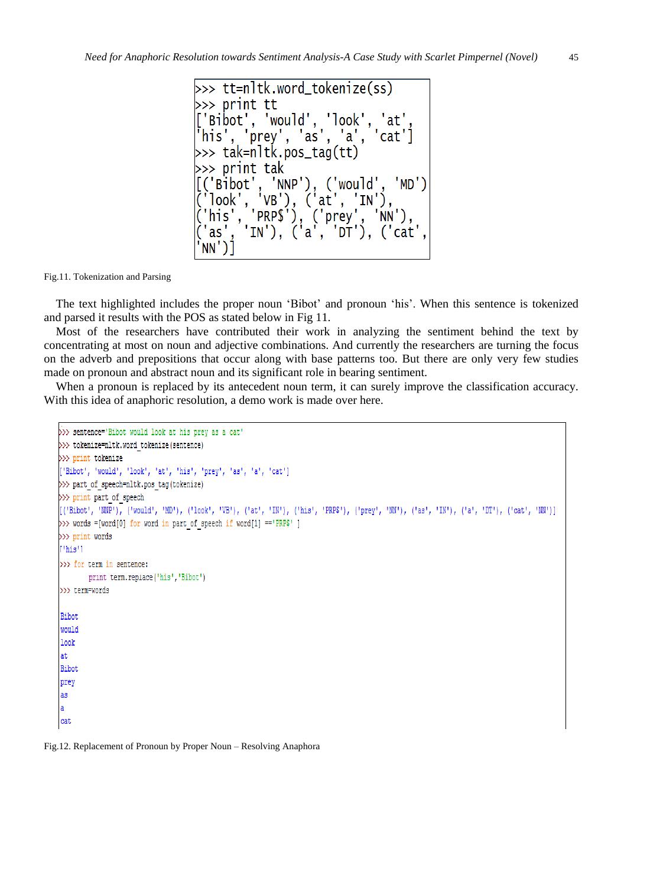$\gg$  tt=nltk.word\_tokenize(ss) >>> print tt 'Bibot', 'would', 'look', 'at' 'his', 'prey', 'as', 'a', '' 'cat'] >>> tak=nltk.pos\_tag(tt) >>> print tak >>> print tak<br>('Bibot', 'NNP'), ('would',<br>'look', 'VB'), ('at', 'IN'),<br>'his', 'PRP\$'), ('prey', 'NN 'MD') ( Biboc , 'VB'), ('at', 'IN'),<br>'look', 'VB'), ('at', 'IN'),<br>'his', 'PRP\$'), ('prey', 'NN'),<br>'as', 'IN'), ('a', 'DT'), ('cat'<br>NN')] NN')1

Fig.11. Tokenization and Parsing

The text highlighted includes the proper noun 'Bibot' and pronoun 'his'. When this sentence is tokenized and parsed it results with the POS as stated below in Fig 11.

Most of the researchers have contributed their work in analyzing the sentiment behind the text by concentrating at most on noun and adjective combinations. And currently the researchers are turning the focus on the adverb and prepositions that occur along with base patterns too. But there are only very few studies made on pronoun and abstract noun and its significant role in bearing sentiment.

When a pronoun is replaced by its antecedent noun term, it can surely improve the classification accuracy. With this idea of anaphoric resolution, a demo work is made over here.

```
>>> sentence='Bibot would look at his prey as a cat'
>>> tokenize=nltk.word tokenize(sentence)
>>> print tokenize
['Bibot', 'would', 'look', 'at', 'his', 'prey', 'as', 'a', 'cat']
>>> part of speech=nltk.pos tag(tokenize)
>>> print part of speech
[('Bibot', 'NNP'), ('would', 'MD'), ('look', 'VB'), ('at', 'IN'), ('his', 'PRP$'), ('prey', 'NN'), ('a', 'IN'), ('a', 'DI'), ('cat', 'NN')]
>>> words =[word[0] for word in part of speech if word[1] == 'PRP$' ]
>>> print words
[!his!]>>> for term in sentence:
        print term.replace('his','Bibot')
>>> term=words
Bibot
would
look
at.
Bibot
prey
as
Ă
cat
```
Fig.12. Replacement of Pronoun by Proper Noun – Resolving Anaphora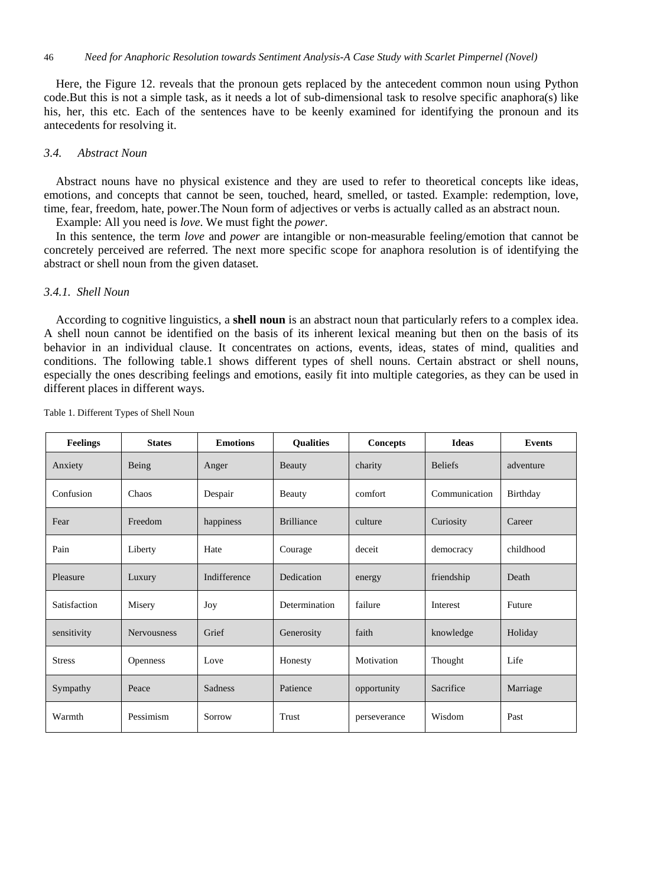Here, the Figure 12. reveals that the pronoun gets replaced by the antecedent common noun using Python code.But this is not a simple task, as it needs a lot of sub-dimensional task to resolve specific anaphora(s) like his, her, this etc. Each of the sentences have to be keenly examined for identifying the pronoun and its antecedents for resolving it.

#### *3.4. Abstract Noun*

Abstract nouns have no physical existence and they are used to refer to theoretical concepts like ideas, emotions, and concepts that cannot be seen, touched, heard, smelled, or tasted. Example: redemption, love, time, fear, freedom, hate, power.The Noun form of adjectives or verbs is actually called as an abstract noun.

Example: All you need is *love*. We must fight the *power*.

In this sentence, the term *love* and *power* are intangible or non-measurable feeling/emotion that cannot be concretely perceived are referred. The next more specific scope for anaphora resolution is of identifying the abstract or shell noun from the given dataset.

# *3.4.1. Shell Noun*

According to cognitive linguistics, a **shell noun** is an abstract noun that particularly refers to a complex idea. A shell noun cannot be identified on the basis of its inherent lexical meaning but then on the basis of its behavior in an individual clause. It concentrates on actions, events, ideas, states of mind, qualities and conditions. The following table.1 shows different types of shell nouns. Certain abstract or shell nouns, especially the ones describing feelings and emotions, easily fit into multiple categories, as they can be used in different places in different ways.

| <b>Feelings</b> | <b>States</b>      | <b>Emotions</b> | <b>Qualities</b>  | Concepts     | <b>Ideas</b>   | <b>Events</b> |
|-----------------|--------------------|-----------------|-------------------|--------------|----------------|---------------|
| Anxiety         | Being              | Anger           | Beauty            | charity      | <b>Beliefs</b> | adventure     |
| Confusion       | Chaos              | Despair         | Beauty            | comfort      | Communication  | Birthday      |
| Fear            | Freedom            | happiness       | <b>Brilliance</b> | culture      | Curiosity      | Career        |
| Pain            | Liberty            | Hate            | Courage           | deceit       | democracy      | childhood     |
| Pleasure        | Luxury             | Indifference    | Dedication        | energy       | friendship     | Death         |
| Satisfaction    | Misery             | Joy             | Determination     | failure      | Interest       | Future        |
| sensitivity     | <b>Nervousness</b> | Grief           | Generosity        | faith        | knowledge      | Holiday       |
| <b>Stress</b>   | <b>Openness</b>    | Love            | Honesty           | Motivation   | Thought        | Life          |
| Sympathy        | Peace              | <b>Sadness</b>  | Patience          | opportunity  | Sacrifice      | Marriage      |
| Warmth          | Pessimism          | Sorrow          | Trust             | perseverance | Wisdom         | Past          |

Table 1. Different Types of Shell Noun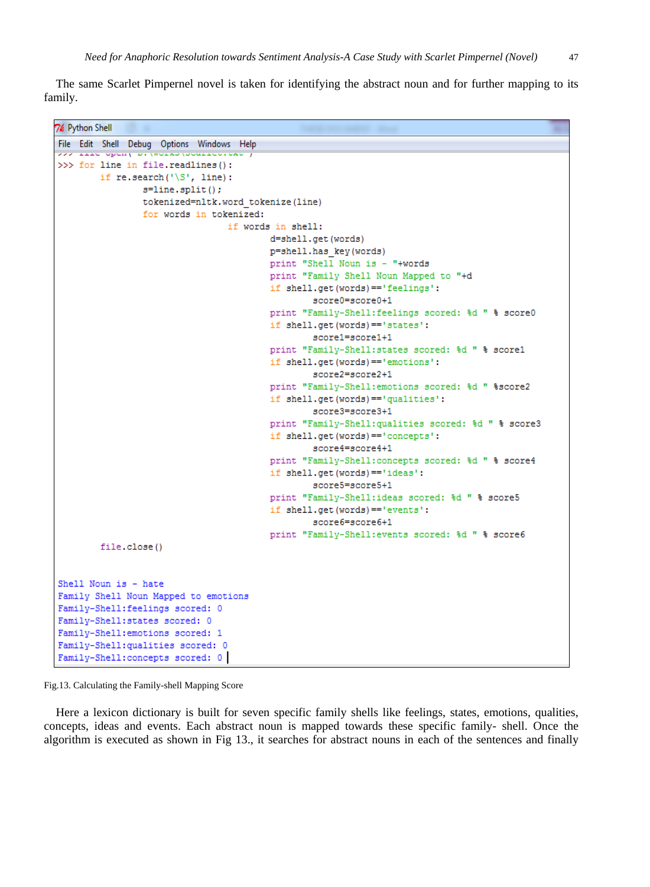The same Scarlet Pimpernel novel is taken for identifying the abstract noun and for further mapping to its family.

7% Python Shell File Edit Shell Debug Options Windows Help LIEU OPUNY DI WOLKS (SOMILUSIONS >>> for line in file.readlines(): if re.search $('S', line)$ :  $s = line.split()$ ; tokenized=nltk.word\_tokenize(line) for words in tokenized: if words in shell: d=shell.get(words) p=shell.has key(words) print "Shell Noun is - "+words print "Family Shell Noun Mapped to "+d if shell.get(words) == 'feelings': score0=score0+1 print "Family-Shell:feelings scored: %d " % score0 if shell.get(words) == 'states': score1=score1+1 print "Family-Shell:states scored: %d " % score1 if shell.get(words) == 'emotions': score2=score2+1 print "Family-Shell: emotions scored: %d " %score2 if shell.get(words) == 'qualities': score3=score3+1 print "Family-Shell:qualities scored: %d " % score3 if shell.get(words) == 'concepts': score4=score4+1 print "Family-Shell: concepts scored: %d " % score4 if shell.get(words) == 'ideas': score5=score5+1 print "Family-Shell:ideas scored: %d " % score5 if shell.get(words) == 'events': score6=score6+1 print "Family-Shell:events scored: %d " % score6 file.close() Shell Noun is - hate Family Shell Noun Mapped to emotions Family-Shell: feelings scored: 0 Family-Shell:states scored: 0 Family-Shell: emotions scored: 1 Family-Shell: qualities scored: 0 Family-Shell: concepts scored: 0

Fig.13. Calculating the Family-shell Mapping Score

Here a lexicon dictionary is built for seven specific family shells like feelings, states, emotions, qualities, concepts, ideas and events. Each abstract noun is mapped towards these specific family- shell. Once the algorithm is executed as shown in Fig 13., it searches for abstract nouns in each of the sentences and finally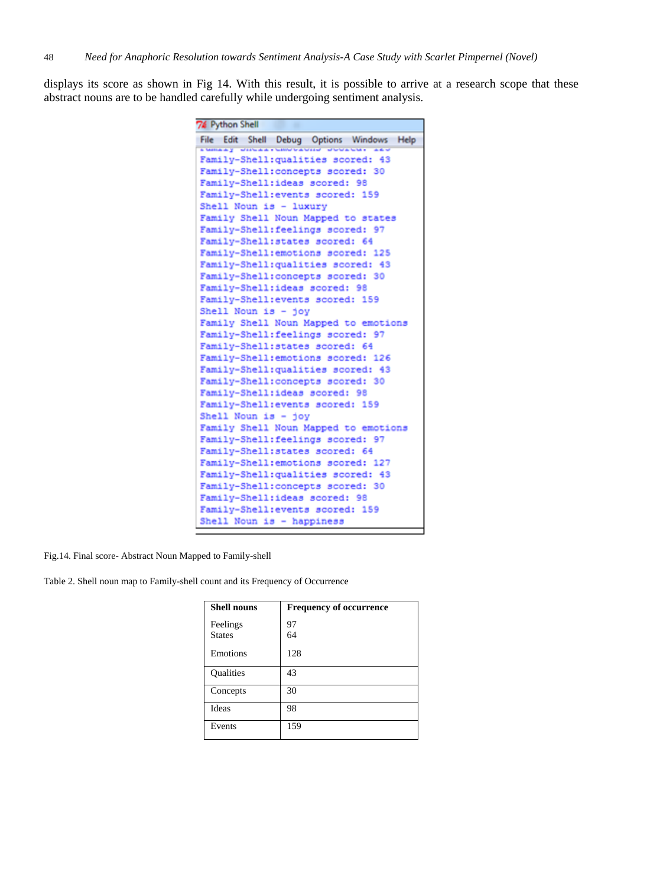displays its score as shown in Fig 14. With this result, it is possible to arrive at a research scope that these abstract nouns are to be handled carefully while undergoing sentiment analysis.

| File Edit Shell Debug Options Windows Help<br><b>Comes y Direases</b><br>Family-Shell: qualities scored: 43<br>Family-Shell:concepts scored: 30<br>Family-Shell:ideas scored: 98<br>Family-Shell: events scored: 159<br>Shell Noun is - luxury<br>Family Shell Noun Mapped to states<br>Family-Shell:feelings scored: 97<br>Family-Shell:states scored: 64<br>Family-Shell: emotions scored: 125<br>Family-Shell: qualities scored: 43<br>Family-Shell: concepts scored: 30<br>Family-Shell:ideas scored: 98<br>Family-Shell: events scored: 159<br>Shell Noun is - joy<br>Family Shell Noun Mapped to emotions<br>Family-Shell: feelings scored: 97<br>Family-Shell:states scored: 64<br>Family-Shell: emotions scored: 126<br>Family-Shell: qualities scored: 43<br>Family-Shell: concepts scored: 30<br>Family-Shell:ideas scored: 98<br>Family-Shell: events scored: 159<br>Shell Noun is - joy<br>Family Shell Noun Mapped to emotions<br>Family-Shell: feelings scored: 97<br>Family-Shell:states scored: 64<br>Family-Shell:emotions scored: 127<br>Family-Shell: qualities scored: 43<br>Family-Shell:concepts scored: 30<br>Family-Shell:ideas scored: 98<br>Family-Shell: events scored: 159<br>Shell Noun is - happiness | 74 Python Shell |  |  |  |  |
|-------------------------------------------------------------------------------------------------------------------------------------------------------------------------------------------------------------------------------------------------------------------------------------------------------------------------------------------------------------------------------------------------------------------------------------------------------------------------------------------------------------------------------------------------------------------------------------------------------------------------------------------------------------------------------------------------------------------------------------------------------------------------------------------------------------------------------------------------------------------------------------------------------------------------------------------------------------------------------------------------------------------------------------------------------------------------------------------------------------------------------------------------------------------------------------------------------------------------------------|-----------------|--|--|--|--|
|                                                                                                                                                                                                                                                                                                                                                                                                                                                                                                                                                                                                                                                                                                                                                                                                                                                                                                                                                                                                                                                                                                                                                                                                                                     |                 |  |  |  |  |
|                                                                                                                                                                                                                                                                                                                                                                                                                                                                                                                                                                                                                                                                                                                                                                                                                                                                                                                                                                                                                                                                                                                                                                                                                                     |                 |  |  |  |  |
|                                                                                                                                                                                                                                                                                                                                                                                                                                                                                                                                                                                                                                                                                                                                                                                                                                                                                                                                                                                                                                                                                                                                                                                                                                     |                 |  |  |  |  |
|                                                                                                                                                                                                                                                                                                                                                                                                                                                                                                                                                                                                                                                                                                                                                                                                                                                                                                                                                                                                                                                                                                                                                                                                                                     |                 |  |  |  |  |
|                                                                                                                                                                                                                                                                                                                                                                                                                                                                                                                                                                                                                                                                                                                                                                                                                                                                                                                                                                                                                                                                                                                                                                                                                                     |                 |  |  |  |  |
|                                                                                                                                                                                                                                                                                                                                                                                                                                                                                                                                                                                                                                                                                                                                                                                                                                                                                                                                                                                                                                                                                                                                                                                                                                     |                 |  |  |  |  |
|                                                                                                                                                                                                                                                                                                                                                                                                                                                                                                                                                                                                                                                                                                                                                                                                                                                                                                                                                                                                                                                                                                                                                                                                                                     |                 |  |  |  |  |
|                                                                                                                                                                                                                                                                                                                                                                                                                                                                                                                                                                                                                                                                                                                                                                                                                                                                                                                                                                                                                                                                                                                                                                                                                                     |                 |  |  |  |  |
|                                                                                                                                                                                                                                                                                                                                                                                                                                                                                                                                                                                                                                                                                                                                                                                                                                                                                                                                                                                                                                                                                                                                                                                                                                     |                 |  |  |  |  |
|                                                                                                                                                                                                                                                                                                                                                                                                                                                                                                                                                                                                                                                                                                                                                                                                                                                                                                                                                                                                                                                                                                                                                                                                                                     |                 |  |  |  |  |
|                                                                                                                                                                                                                                                                                                                                                                                                                                                                                                                                                                                                                                                                                                                                                                                                                                                                                                                                                                                                                                                                                                                                                                                                                                     |                 |  |  |  |  |
|                                                                                                                                                                                                                                                                                                                                                                                                                                                                                                                                                                                                                                                                                                                                                                                                                                                                                                                                                                                                                                                                                                                                                                                                                                     |                 |  |  |  |  |
|                                                                                                                                                                                                                                                                                                                                                                                                                                                                                                                                                                                                                                                                                                                                                                                                                                                                                                                                                                                                                                                                                                                                                                                                                                     |                 |  |  |  |  |
|                                                                                                                                                                                                                                                                                                                                                                                                                                                                                                                                                                                                                                                                                                                                                                                                                                                                                                                                                                                                                                                                                                                                                                                                                                     |                 |  |  |  |  |
|                                                                                                                                                                                                                                                                                                                                                                                                                                                                                                                                                                                                                                                                                                                                                                                                                                                                                                                                                                                                                                                                                                                                                                                                                                     |                 |  |  |  |  |
|                                                                                                                                                                                                                                                                                                                                                                                                                                                                                                                                                                                                                                                                                                                                                                                                                                                                                                                                                                                                                                                                                                                                                                                                                                     |                 |  |  |  |  |
|                                                                                                                                                                                                                                                                                                                                                                                                                                                                                                                                                                                                                                                                                                                                                                                                                                                                                                                                                                                                                                                                                                                                                                                                                                     |                 |  |  |  |  |
|                                                                                                                                                                                                                                                                                                                                                                                                                                                                                                                                                                                                                                                                                                                                                                                                                                                                                                                                                                                                                                                                                                                                                                                                                                     |                 |  |  |  |  |
|                                                                                                                                                                                                                                                                                                                                                                                                                                                                                                                                                                                                                                                                                                                                                                                                                                                                                                                                                                                                                                                                                                                                                                                                                                     |                 |  |  |  |  |
|                                                                                                                                                                                                                                                                                                                                                                                                                                                                                                                                                                                                                                                                                                                                                                                                                                                                                                                                                                                                                                                                                                                                                                                                                                     |                 |  |  |  |  |
|                                                                                                                                                                                                                                                                                                                                                                                                                                                                                                                                                                                                                                                                                                                                                                                                                                                                                                                                                                                                                                                                                                                                                                                                                                     |                 |  |  |  |  |
|                                                                                                                                                                                                                                                                                                                                                                                                                                                                                                                                                                                                                                                                                                                                                                                                                                                                                                                                                                                                                                                                                                                                                                                                                                     |                 |  |  |  |  |
|                                                                                                                                                                                                                                                                                                                                                                                                                                                                                                                                                                                                                                                                                                                                                                                                                                                                                                                                                                                                                                                                                                                                                                                                                                     |                 |  |  |  |  |
|                                                                                                                                                                                                                                                                                                                                                                                                                                                                                                                                                                                                                                                                                                                                                                                                                                                                                                                                                                                                                                                                                                                                                                                                                                     |                 |  |  |  |  |
|                                                                                                                                                                                                                                                                                                                                                                                                                                                                                                                                                                                                                                                                                                                                                                                                                                                                                                                                                                                                                                                                                                                                                                                                                                     |                 |  |  |  |  |
|                                                                                                                                                                                                                                                                                                                                                                                                                                                                                                                                                                                                                                                                                                                                                                                                                                                                                                                                                                                                                                                                                                                                                                                                                                     |                 |  |  |  |  |
|                                                                                                                                                                                                                                                                                                                                                                                                                                                                                                                                                                                                                                                                                                                                                                                                                                                                                                                                                                                                                                                                                                                                                                                                                                     |                 |  |  |  |  |
|                                                                                                                                                                                                                                                                                                                                                                                                                                                                                                                                                                                                                                                                                                                                                                                                                                                                                                                                                                                                                                                                                                                                                                                                                                     |                 |  |  |  |  |
|                                                                                                                                                                                                                                                                                                                                                                                                                                                                                                                                                                                                                                                                                                                                                                                                                                                                                                                                                                                                                                                                                                                                                                                                                                     |                 |  |  |  |  |
|                                                                                                                                                                                                                                                                                                                                                                                                                                                                                                                                                                                                                                                                                                                                                                                                                                                                                                                                                                                                                                                                                                                                                                                                                                     |                 |  |  |  |  |
|                                                                                                                                                                                                                                                                                                                                                                                                                                                                                                                                                                                                                                                                                                                                                                                                                                                                                                                                                                                                                                                                                                                                                                                                                                     |                 |  |  |  |  |
|                                                                                                                                                                                                                                                                                                                                                                                                                                                                                                                                                                                                                                                                                                                                                                                                                                                                                                                                                                                                                                                                                                                                                                                                                                     |                 |  |  |  |  |

Fig.14. Final score- Abstract Noun Mapped to Family-shell

Table 2. Shell noun map to Family-shell count and its Frequency of Occurrence

| <b>Shell nouns</b>        | <b>Frequency of occurrence</b> |
|---------------------------|--------------------------------|
| Feelings<br><b>States</b> | 97<br>64                       |
| Emotions                  | 128                            |
| <b>Qualities</b>          | 43                             |
| Concepts                  | 30                             |
| Ideas                     | 98                             |
| Events                    | 159                            |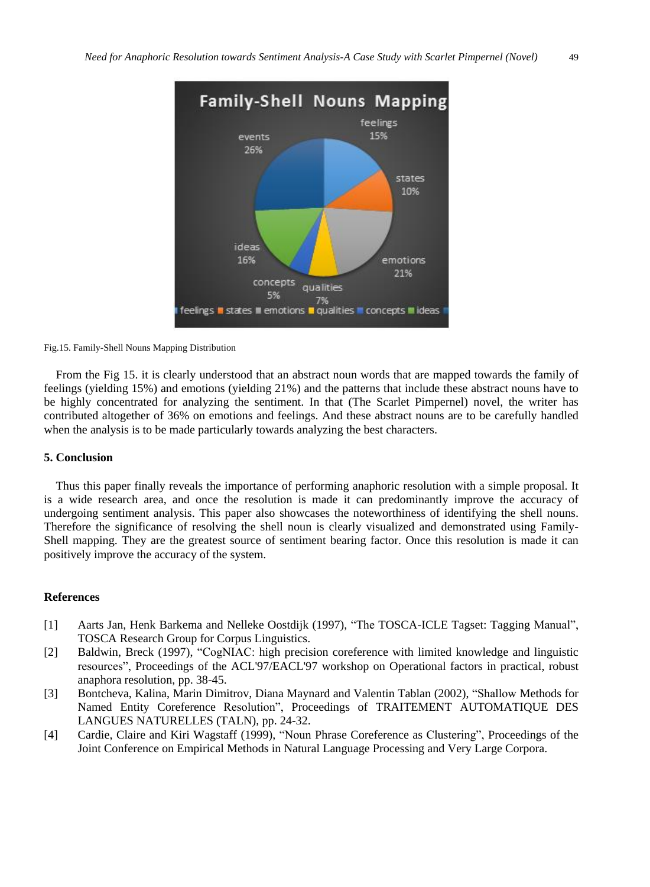

#### Fig.15. Family-Shell Nouns Mapping Distribution

From the Fig 15. it is clearly understood that an abstract noun words that are mapped towards the family of feelings (yielding 15%) and emotions (yielding 21%) and the patterns that include these abstract nouns have to be highly concentrated for analyzing the sentiment. In that (The Scarlet Pimpernel) novel, the writer has contributed altogether of 36% on emotions and feelings. And these abstract nouns are to be carefully handled when the analysis is to be made particularly towards analyzing the best characters.

#### **5. Conclusion**

Thus this paper finally reveals the importance of performing anaphoric resolution with a simple proposal. It is a wide research area, and once the resolution is made it can predominantly improve the accuracy of undergoing sentiment analysis. This paper also showcases the noteworthiness of identifying the shell nouns. Therefore the significance of resolving the shell noun is clearly visualized and demonstrated using Family-Shell mapping. They are the greatest source of sentiment bearing factor. Once this resolution is made it can positively improve the accuracy of the system.

#### **References**

- [1] Aarts Jan, Henk Barkema and Nelleke Oostdijk (1997), "The TOSCA-ICLE Tagset: Tagging Manual", TOSCA Research Group for Corpus Linguistics.
- [2] Baldwin, Breck (1997), "CogNIAC: high precision coreference with limited knowledge and linguistic resources", Proceedings of the ACL'97/EACL'97 workshop on Operational factors in practical, robust anaphora resolution, pp. 38-45.
- [3] Bontcheva, Kalina, Marin Dimitrov, Diana Maynard and Valentin Tablan (2002), "Shallow Methods for Named Entity Coreference Resolution", Proceedings of TRAITEMENT AUTOMATIQUE DES LANGUES NATURELLES (TALN), pp. 24-32.
- [4] Cardie, Claire and Kiri Wagstaff (1999), "Noun Phrase Coreference as Clustering", Proceedings of the Joint Conference on Empirical Methods in Natural Language Processing and Very Large Corpora.